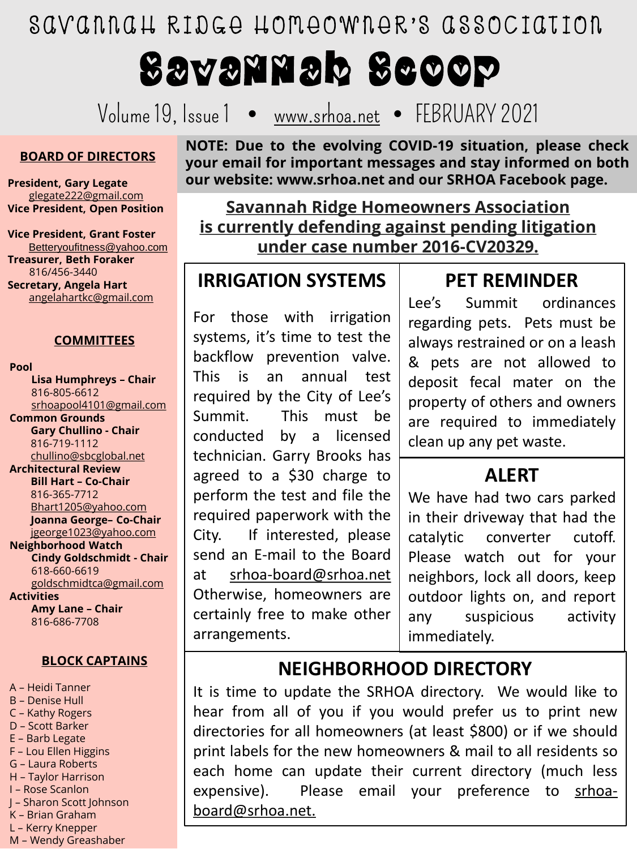SAVANNAH RIDGE HOMEOWNER'S ASSOCIATION

# Savannah Scoop

Volume 19, Issue 1 • [www.srhoa.net](http://www.srhoa.net/) • FEBRUARY 2021

#### **BOARD OF DIRECTORS**

**President, Gary Legate** [glegate222@gmail.com](mailto:glegate222@gmail.com) **Vice President, Open Position**

**Vice President, Grant Foster** Betteryoufitness@yahoo.com **Treasurer, Beth Foraker** 816/456-3440 **Secretary, Angela Hart** [angelahartkc@gmail.com](mailto:angelahartkc@gmail.com)

#### **COMMITTEES**

**Pool**

**Lisa Humphreys – Chair** 816-805-6612 [srhoapool4101@gmail.com](mailto:srhoapool4101@gmail.com) **Common Grounds Gary Chullino - Chair** 816-719-1112 [chullino@sbcglobal.net](mailto:chullino@sbcglobal.net) **Architectural Review Bill Hart – Co-Chair** 816-365-7712 [Bhart1205@yahoo.com](mailto:Bhart1205@yahoo.com) **Joanna George– Co-Chair** [jgeorge1023@yahoo.com](mailto:jgeorge1023@yahoo.com) **Neighborhood Watch Cindy Goldschmidt - Chair** 618-660-6619 [goldschmidtca@gmail.com](mailto:goldschmidtca@gmail.com) **Activities**

**Amy Lane – Chair** 816-686-7708

#### **BLOCK CAPTAINS**

- A Heidi Tanner
- B Denise Hull
- C Kathy Rogers
- D Scott Barker
- E Barb Legate
- F Lou Ellen Higgins
- G Laura Roberts
- H Taylor Harrison I – Rose Scanlon
- J Sharon Scott Johnson
- K Brian Graham
- L Kerry Knepper
- M Wendy Greashaber

**NOTE: Due to the evolving COVID-19 situation, please check your email for important messages and stay informed on both our website: www.srhoa.net and our SRHOA Facebook page.**

**Savannah Ridge Homeowners Association is currently defending against pending litigation under case number 2016-CV20329.**

## **IRRIGATION SYSTEMS**

For those with irrigation systems, it's time to test the backflow prevention valve. This is an annual test required by the City of Lee's Summit. This must be conducted by a licensed technician. Garry Brooks has agreed to a \$30 charge to perform the test and file the required paperwork with the City. If interested, please send an E-mail to the Board at [srhoa-board@srhoa.net](mailto:srhoaboard@srhoa.net) Otherwise, homeowners are certainly free to make other arrangements.

### **PET REMINDER**

Lee's Summit ordinances regarding pets. Pets must be always restrained or on a leash & pets are not allowed to deposit fecal mater on the property of others and owners are required to immediately clean up any pet waste.

#### **ALERT**

We have had two cars parked in their driveway that had the catalytic converter cutoff. Please watch out for your neighbors, lock all doors, keep outdoor lights on, and report any suspicious activity immediately.

### **NEIGHBORHOOD DIRECTORY**

It is time to update the SRHOA directory. We would like to hear from all of you if you would prefer us to print new directories for all homeowners (at least \$800) or if we should print labels for the new homeowners & mail to all residents so each home can update their current directory (much less expensive). Please email your preference to srhoa[board@srhoa.net.](mailto:srhoa-board@srhoa.net)